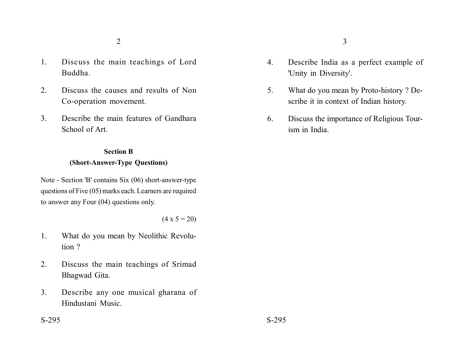- 1. Discuss the main teachings of Lord Buddha.
- 2. Discuss the causes and results of Non Co-operation movement.
- 3. Describe the main features of Gandhara School of Art.

## **Section B (Short-Answer-Type Questions)**

Note - Section 'B' contains Six (06) short-answer-type questions of Five (05) marks each. Learners are required to answer any Four (04) questions only.

 $(4 \times 5 = 20)$ 

- 1. What do you mean by Neolithic Revolution ?
- 2. Discuss the main teachings of Srimad Bhagwad Gita.
- 3. Describe any one musical gharana of Hindustani Music.
- 4. Describe India as a perfect example of 'Unity in Diversity'.
- 5. What do you mean by Proto-history ? Describe it in context of Indian history.
- 6. Discuss the importance of Religious Tourism in India.

 $S-295$   $S-295$